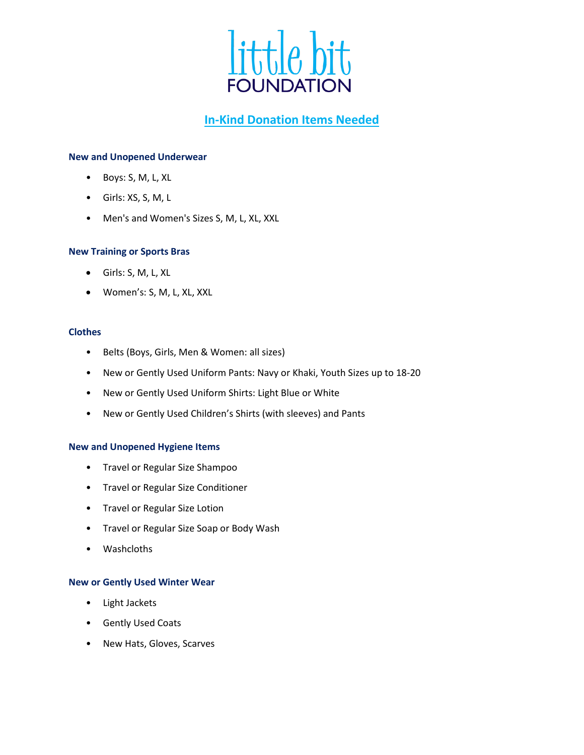

# **In-Kind Donation Items Needed**

## **New and Unopened Underwear**

- Boys: S, M, L, XL
- Girls: XS, S, M, L
- Men's and Women's Sizes S, M, L, XL, XXL

#### **New Training or Sports Bras**

- Girls: S, M, L, XL
- Women's: S, M, L, XL, XXL

# **Clothes**

- Belts (Boys, Girls, Men & Women: all sizes)
- New or Gently Used Uniform Pants: Navy or Khaki, Youth Sizes up to 18-20
- New or Gently Used Uniform Shirts: Light Blue or White
- New or Gently Used Children's Shirts (with sleeves) and Pants

#### **New and Unopened Hygiene Items**

- Travel or Regular Size Shampoo
- Travel or Regular Size Conditioner
- Travel or Regular Size Lotion
- Travel or Regular Size Soap or Body Wash
- Washcloths

#### **New or Gently Used Winter Wear**

- Light Jackets
- Gently Used Coats
- New Hats, Gloves, Scarves